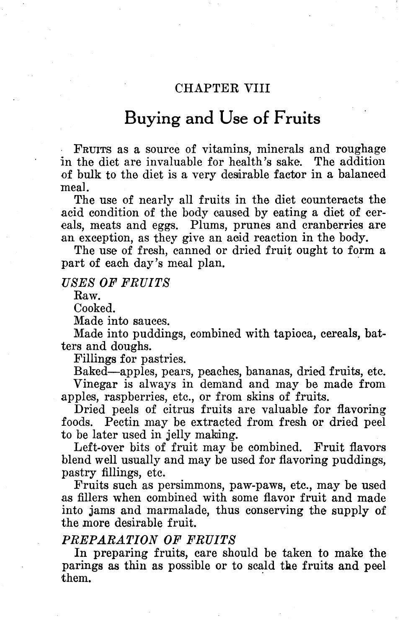# CHAPTER VIII

# **Buying and Use of Fruits**

FRUITS as a source of vitamins, minerals and roughage in the diet are invaluable for health's sake. The addition of bulk to the diet is a very desirable factor in a balanced meal.

The use of nearly all fruits in the diet counteracts the acid condition of the body caused by eating a diet of cereals, meats and eggs. Plums, prunes and cranberries are an exception, as they give an aeid reaction in the body.

The use of fresh, canned or dried fruit ought to form a part of each day's meal plan.

# *USES OF' FRUITS*

Raw.

Cooked.

Made into sauces.

Made into puddings, combined with tapioca, cereals, batters and doughs.

Fillings for pastries.

Baked-apples, pears, peaches, bananas, dried fruits, etc. Vinegar is always in demand and may be made from apples, raspberries, etc., or from skins of fruits.

Dried peels of citrus fruits are valuable for flavoring foods. Pectin may be extracted from fresh or dried peel to be later used in jelly making.

Left-over bits of fruit may be combined. Fruit flavors blend well usually and may be used for flavoring puddings, pastry fillings, etc.

Fruits such as persimmons, paw-paws, etc., may be used as fillers when combined with some flavor fruit and made into jams and marmalade, thus conserving the supply of the more desirable fruit.

# *PREPARATION OF' FRUITS*

In preparing fruits, care should be taken to make the parings as thin as possible or to scald the fruits and peel them. them.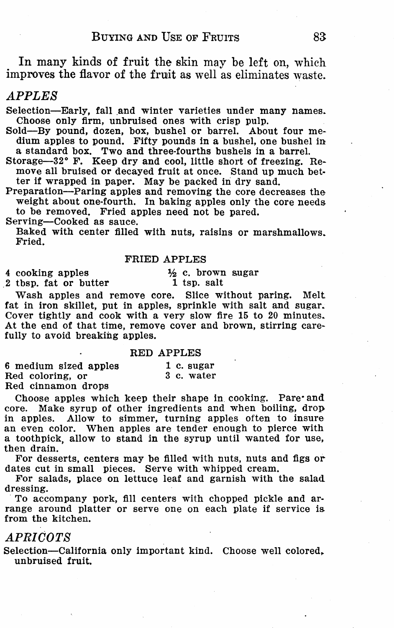In many kinds of fruit the skin may be left on, which improves the flavor of the fruit as well as eliminates waste.

# *APPLES*

Selection-Early, fall and winter varieties under many names.<br>Choose only firm, unbruised ones with crisp pulp.<br>Sold-By pound, dozen, box, bushel or barrel. About four me-

dium apples to pound. Fifty pounds in a bushel, one bushel in a standard box. Two and three-fourths bushels in a barrel.<br>Storage—32° F. Keep dry and cool, little short of freezing. Re-

move all bruised or decayed fruit at once. Stand up much better if wrapped in paper. May be packed in dry sand.

Preparation-Paring apples and removing the core decreases the weight about one-fourth. In baking apples only the core needs to be removed. Fried apples need not be pared.

Serving-Cooked as sauce.

Baked with center filled with nuts, raisins or marshmallows. Fried.

#### FRIED APPLES

4 cooking apples 2 tbsp. fat or butter ½ c. brown sugar 1 tsp. salt

Wash apples and remove core. Slice without paring. Melt fat in iron skillet, put in apples, sprinkle with salt and sugar. Cover tightly and cook with a very slow fire 15 to 20 minutes. At the end of that time, remove cover and brown, stirring care-<br>fully to avoid breaking apples.

#### RED APPLES

6 medium sized apples 1 c. sugar<br>Red coloring. or 3 c. water Red coloring, or Red cinnamon drops

Choose apples which keep their shape in cooking. Pare· and core. Make syrup of other ingredients and when boiling, drop, in apples. Allow to simmer, turning apples often to insure an even color. When apples are tender enough to pierce with a toothpick, allow to stand in the syrup until wanted for use,

then drain.<br>For desserts, centers may be filled with nuts, nuts and figs or

dates cut in small pieces. Serve with whipped cream.<br>For salads, place on lettuce leaf and garnish with the salad dressing.

To accompany pork, fill centers with chopped pickle and ar- range around platter or serve one on each plate if service is from the kitchen.

#### *APRICOTS*

Selection-California only important kind. Choose well colored, unbruised fruit.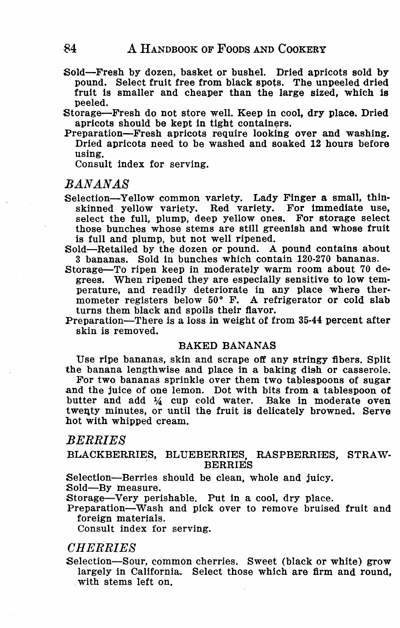Sold-Fresh by dozen, basket or bushel. Dried apricots sold by pound. Select fruit free from black spots. The unpeeled dried fruit is smaller and cheaper than the large sized, which is peeled.

Storage-Fresh do not store well. Keep in cool, dry place. Dried apricots should be kept in tight containers.

Preparation-Fresh apricots require looking over and washing. Dried apricots need to be washed and soaked 12 hours before using,

Consult index for serving.

# *BANANAS*

Selection-Yellow common variety. Lady Finger a small, thinskinned yellow variety. Red variety. For immediate use, select the full, plump, deep yellow ones. For storage select those bunches whose stems are still greenish and whose fruit is full and plump, but not well ripened.

Sold-Retailed by the dozen or pound. A pound contains about 3 bananas. Sold in bunches which contain 120-270 bananas.

- Storage-To ripen keep in moderately warm room about 70 degrees. When ripened they are especially sensitive to **low** temperature, and readily deteriorate in any place where thermometer registers below 50° F. A refrigerator or cold slab turns them black and spoils their flavor.
- Preparation-There is a loss in weight of from 35-44 percent after skin is removed.

#### BAKED BANANAS

Use ripe bananas, skin and scrape off any stringy fibers. Split the banana lengthwise and place in a baking dish or casserole.

For two bananas sprinkle over them two tablespoons of sugar and the juice of one lemon. Dot with bits from a tablespoon **of**  twenty minutes, or until the fruit is delicately browned. Serve hot with whipped cream.

# *BERRIES*

#### BLACKBERRIES, BLUEBERRIES, RASPBERRIES, STRAW-**BERRIES**

Selection-Berries should be clean, whole and juicy.<br>Sold-By measure.

Storage-Very perishable. Put in a cool, dry place.

Preparation-Wash and pick over to remove bruised fruit and foreign materials.

Consult index for serving.

# *CHERRIES*

Selection-Sour, common cherries. Sweet (black or white) grow largely in California. Select those which are firm and round, with stems left on.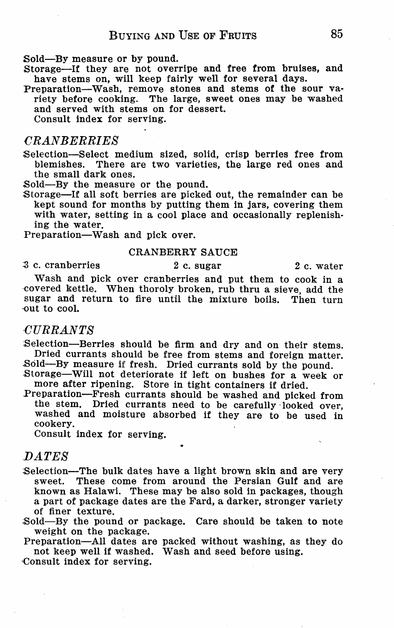Sold-By measure or by pound.

Storage-If they are not overripe and free from bruises, and have stems on, will keep fairly well for several days.<br>Preparation—Wash, remove stones and stems of the sour va-

riety before cooking. The large, sweet ones may be washed and served with stems on for dessert.

Consult index for serving.

# *CRANBERRIES*

Selection-Select medium sized, solid, crisp berries free from<br>blemishes. There are two varieties, the large red ones and blemishes. There are two varieties, the large red ones and the small dark ones.

Sold-By the measure or the pound.

Storage-If all soft berries are picked out, the remainder can be kept sound for months by putting them in jars, covering them with water, setting in a cool place and occasionally replenishing the water.

Preparation-Wash and pick over.

#### CRANBERRY SAUCE

 $\frac{3}{2}$  c. cranberries 2 c. sugar 2 c. water

Wash and pick over cranberries and put them to cook in a covered kettle. When thoroly broken, rub thru a sieve, add the sugar and return to fire until the mixture boils, Then turn •out to cool.

#### *CURRANTS*

Selection-Berries should be firm and dry and on their stems. Dried currants should be free from stems and foreign matter.

Sold-By measure if fresh. Dried currants sold by the pound.<br>Storage-Will not deteriorate if left on bushes for a week or more after ripening. Store in tight containers if dried.

Preparation-Fresh currants should be washed and picked from the stem. Dried currants need to be carefully looked over, washed and moisture absorbed if they are to be used in cookery.

Consult index for serving.

# *IJATES*

- Selection-The bulk dates have a light brown skin and are very<br>sweet. These come from around the Persian Gulf and are known as Halawi. These may be also sold in packages, though a part of package dates are the Fard, a darker, stronger variety of finer texture.
- Sold-By the pound or package. Care should be taken to note weight on the package.

Preparation-All dates are packed without washing, as they do not keep well if washed. Wash and seed before using.

·Consult index for serving.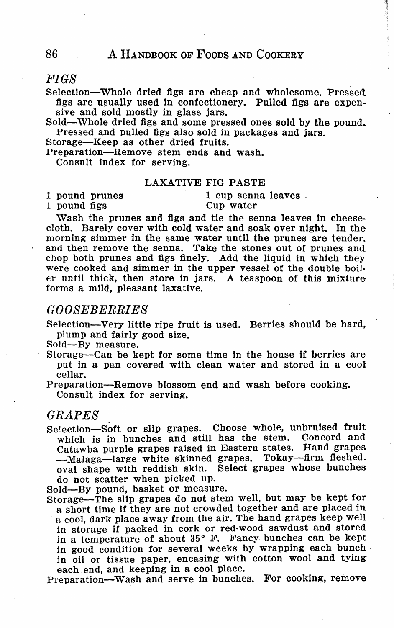# *FIGS*

Selection-Whole dried figs are cheap and wholesome. Pressed figs are usually used in confectionery. Pulled figs are expen-

sive and sold mostly in glass jars.

Sold-Whole dried figs and some pressed ones sold by the pound. Pressed and pulled figs also sold in packages and jars.

Storage-Keep as other dried fruits.

Preparation-Remove stem ends and wash.

Consult index for serving.

#### LAXATIVE FIG PASTE

1 pound prunes 1 cup senna leaves 1 cup senna leaves 1 cup senna leaves 1 cup senna leaves 1 cup senna leaves 2 cup senna leaves 1 cup senna leaves 1 cup senna leaves 1 cup senna leaves 1 cup senna leaves 1 cup senna leave

1 pound figs

Wash the prunes and figs and tie the senna leaves in cheesecloth. Barely cover with cold water and soak over night. In the morning simmer in the same water until the prunes are tender. and then remove the senna. Take the stones out of prunes and chop both prunes and figs finely. Add the liquid in which they were cooked and simmer in the upper vessel of the double boil- er until thick, then store in jars. A teaspoon of this mixture forms a mild, pleasant laxative.

# *GOOSEBERRIES*

Selection-Very little ripe fruit is used. Berries should be hard, plump and fairly good size.<br>Sold-By measure.

Storage-Can be kept for some time in the house if berries are put in a pan covered with clean water and stored in a cool cellar.

Preparation-Remove blossom end and wash before cooking. Consult index for serving.

# *GRAPES*

Selection-Soft or slip grapes. Choose whole, unbruised fruit which is in bunches and still has the stem. Concord and Catawba purple grapes raised in Eastern states. Hand grapes -Malaga-large white skinned grapes. Tokay-firm fleshed. oval shape with reddish skin. Select grapes whose bunches do not scatter when picked up.<br>Sold—By pound, basket or measure.

Storage-The slip grapes do not stem well, but may be kept for<br>a short time if they are not crowded together and are placed in<br>a cool, dark place away from the air. The hand grapes keep well in storage if packed in cork or red-wood sawdust and stored in a temperature of about 35° F. Fancy bunches can be kept in good condition for several weeks by wrapping each bunch in oil or tissue paper, encasing with cotton wool and tying each end, and keeping in a cool place.

Preparation-Wash and serve in bunches. For cooking, remove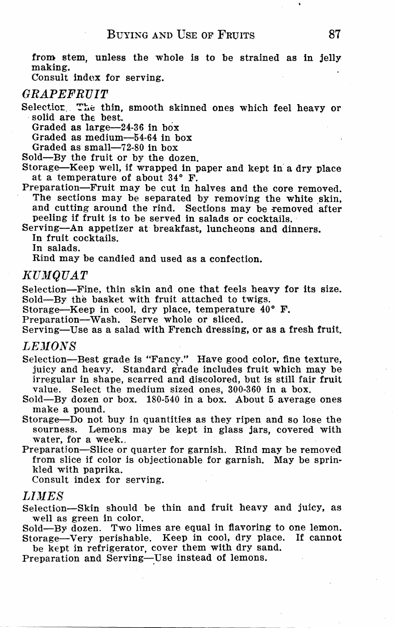from stem, unless the whole is to be strained as in jelly making.

Consult index for serving.

# **GRAPEFRUIT**

Selectior. The thin, smooth skinned ones which feel heavy or solid are the best.

Graded as large-24-36 in box

Graded as medium-54-64 in box

Graded as small-72-80 in box

Sold-By the fruit or by the dozen.

Storage-Keep well, if wrapped in paper and kept in a dry place at a temperature of about 34° F.

Preparation-Fruit may be cut in halves and the core removed. The sections may be separated by removing the white skin, and cutting around the rind. Sections may be removed after peeling if fruit is to be served in salads or cocktails.

Serving-An appetizer at breakfast, luncheons and dinners. In fruit cocktails.

In salads.

Rind may be candied and used as a confection.

#### KUMOUAT

Selection-Fine, thin skin and one that feels heavy for its size. Sold-By the basket with fruit attached to twigs.

Storage-Keep in cool, dry place, temperature 40° F.

Preparation-Wash. Serve whole or sliced.

Serving-Use as a salad with French dressing, or as a fresh fruit.

#### *LEJIONS*

Selection-Best grade is "Fancy." Have good color, fine texture, juicy and heavy. Standard g'rade includes fruit which may be irregular in shape, scarred and discolored, but is still fair fruit value. Select the medium sized ones, 300-360 in a box.

Sold-By dozen or box. 180-540 in a box. About 5 average ones make a pound.

Storage-Do not buy in quantities as they ripen and so lose the sourness. Lemons may be kept in glass jars, covered with water, for a week...

Preparation-Slice or quarter for garnish. Rind may be removed from slice if color is objectionable for garnish. May be sprinkled with paprika.

Consult index for serving.

# *LDIES*

Selection-Skin should be thin and fruit heavy and juicy, as well as green in color.

Sold-By dozen. Two limes are equal in flavoring to one lemon. Storage-Very perishable. Keep in cool, dry place. If cannot

be kept in refrigerator, cover them with dry sand. Preparation and Serving-Use instead of lemons.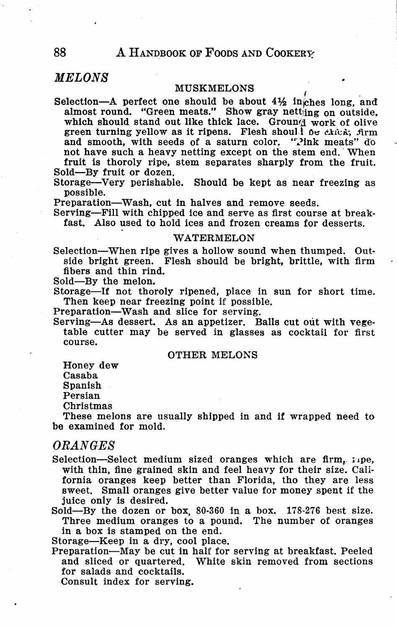# *MELONS*

MUSKMELONS<br>Selection-A perfect one should be about  $4\frac{1}{2}$  inches long, and almost round. "Green meats." Show gray netting on outside, which should stand out like thick lace. Ground work of olive green turning yellow as it ripens. Flesh shoul.  $\delta e$  thick, firm and smooth, with seeds of a saturn color. "Pink meats" do not have such a heavy netting except on the stem end. When fruit is thoroly ripe, stem separates sharply from the fruit.

Sold-By fruit or dozen.

Storage-Very perishable. Should be kept as near freezing as possible.

Preparation-Wash, cut in halves and remove seeds.

Serving-Fill with chipped ice and serve as first course at breakfast. Also used to hold ices and frozen creams for desserts.

#### WATERMELON

Selection-When ripe gives a hollow sound when thumped. Outside bright green. Flesh should be bright, brittle, with firm fibers and thin rind.

Sold-By the melon.

Storage-If not thoroly ripened, place in sun for short time. Then keep near freezing point if possible.

Preparation-Wash and slice for serving.

Serving-As dessert. As an appetizer. Balls cut out with vegetable cutter may be served in glasses as cocktail for first course.

#### OTHER MELONS

Honey dew

Casaba

Spanish

Persian

Christmas

These melons are usually shipped in and if wrapped need to be examined for mold.

### *ORANGES*

Selection-Select medium sized oranges which are firm,  $:$  1pe, with thin, fine grained skin and feel heavy for their size. California oranges keep better than Florida, tho they are less sweet. Small oranges give better value for money spent if the juice only is desired.

Sold-By the dozen or box, 80-360 in a box. 178-276 best size. Three medium oranges to a pound. The number of oranges in a box is stamped on the end.

Storage-Keep in a dry, cool place.

Preparation-May be cut in half for serving at breakfast. Peeled and sliced or quartered, White skin removed from sections for salads and cocktails.

Consult index for serving.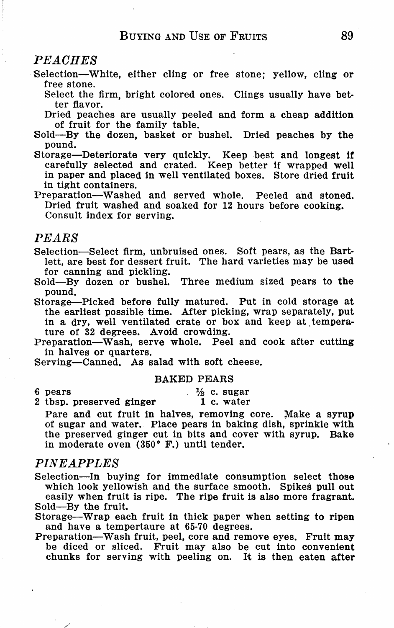# *PEACHES*

- Selection-White, either cling or free stone; yellow, cling or free stone.
	- Select the firm, bright colored ones. Clings usually have better flavor.
	- Dried peaches are usually peeled and form a cheap addition of fruit for the family table.
- Sold-By the dozen, basket or bushel. Dried peaches by the pound.
- Storage-Deteriorate very quickly. Keep best and longest if carefully selected and crated. Keep better if wrapped well in paper and placed in well ventilated boxes. Store dried fruit in tight containers.
- Preparation-Washed and served whole. Peeled and stoned. Dried fruit washed and soaked for 12 hours before cooking. Consult index for serving.

### *PEARS*

Selection-Select firm, unbruised ones. Soft pears, as the Bartlett, are best for dessert fruit. The hard varieties may be used for canning and pickling.

Sold-By dozen or bushel. Three medium sized pears to the pound.

Storage-Picked before fully matured. Put in cold storage at the earliest possible time. After picking, wrap separately, put in a dry, well ventilated crate or box and keep at temperature of 32 degrees. Avoid crowding.

Preparation-Wash, serve whole. Peel and cook after cutting in halves or quarters.

Serving-Canned. As salad with soft cheese.

in moderate oven (350° F.) until tender.

#### BAKED PEARS

6 pears

 $\frac{1}{2}$  c. sugar 1 c. water

2 tbsp. preserved ginger Pare and cut fruit in halves, removing core. Make a syrup of sugar and water. Place pears in baking dish, sprinkle with the preserved ginger cut in bits and cover with syrup, Bake

#### *PINEAPPLES*

- Selection-In buying for immediate consumption select those which look yellowish and the surface smooth. Spikes pull out easily when fruit is ripe. The ripe fruit is also more fragrant. Sold-By the fruit.
- Storage-Wrap each fruit in thick paper when setting to ripen and have a tempertaure at 65-70 degrees.
- Preparation-Wash fruit, peel, core and remove eyes. Fruit may be diced or sliced. Fruit may also be cut into convenient chunks for serving with peeling on. It is then eaten after